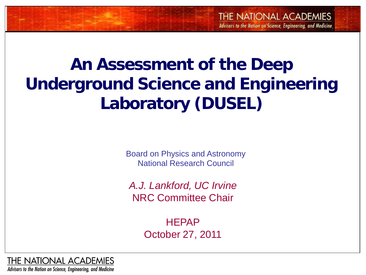#### **An Assessment of the Deep Underground Science and Engineering Laboratory (DUSEL)**

Board on Physics and Astronomy National Research Council

*A.J. Lankford, UC Irvine* NRC Committee Chair

> HEPAP October 27, 2011

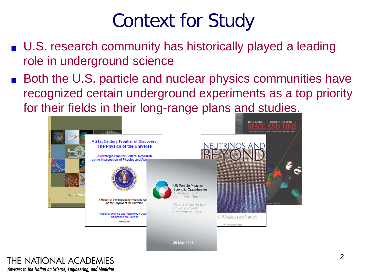## Context for Study

- U.S. research community has historically played a leading role in underground science
- Both the U.S. particle and nuclear physics communities have recognized certain underground experiments as a top priority for their fields in their long-range plans and studies.



#### **THE NATIONAL ACADEMIES**

Advisers to the Nation on Science, Engineering, and Medicine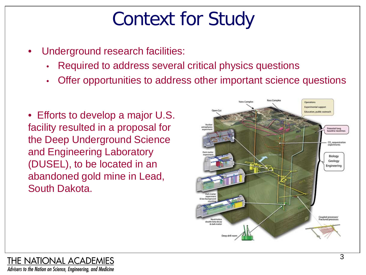### Context for Study

- Underground research facilities:
	- Required to address several critical physics questions
	- Offer opportunities to address other important science questions

• Efforts to develop a major U.S. facility resulted in a proposal for the Deep Underground Science and Engineering Laboratory (DUSEL), to be located in an abandoned gold mine in Lead, South Dakota.

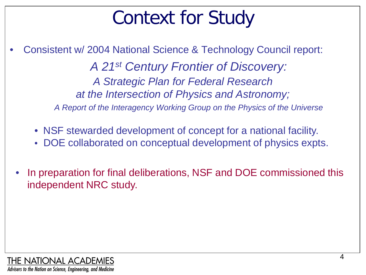## Context for Study

• Consistent w/ 2004 National Science & Technology Council report: *A 21st Century Frontier of Discovery: A Strategic Plan for Federal Research at the Intersection of Physics and Astronomy; A Report of the Interagency Working Group on the Physics of the Universe*

- NSF stewarded development of concept for a national facility.
- DOE collaborated on conceptual development of physics expts.
- In preparation for final deliberations, NSF and DOE commissioned this independent NRC study.

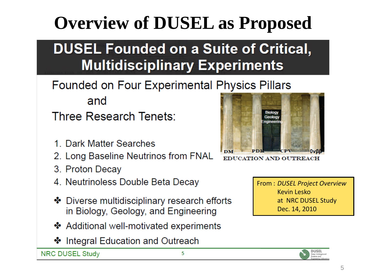# **Overview of DUSEL as Proposed**

#### **DUSEL Founded on a Suite of Critical, Multidisciplinary Experiments**

**Founded on Four Experimental Physics Pillars** 

and Three Research Tenets:

- 1. Dark Matter Searches
- 2. Long Baseline Neutrinos from FNAL
- 3. Proton Decay
- 4. Neutrinoless Double Beta Decay
- ❖ Diverse multidisciplinary research efforts in Biology, Geology, and Engineering
- ❖ Additional well-motivated experiments
- ❖ Integral Education and Outreach



EDUCATION AND OUTREACH

From : *DUSEL Project Overview* Kevin Lesko at NRC DUSEL Study Dec. 14, 2010

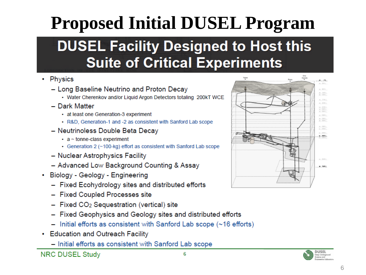# **Proposed Initial DUSEL Program**

#### **DUSEL Facility Designed to Host this Suite of Critical Experiments**

#### • Physics

- Long Baseline Neutrino and Proton Decay
	- Water Cherenkov and/or Liquid Argon Detectors totaling 200KT WCE
- Dark Matter
	- at least one Generation-3 experiment
	- R&D, Generation-1 and -2 as consistent with Sanford Lab scope
- Neutrinoless Double Beta Decay
	- $\cdot$  a  $\sim$  tonne-class experiment
	- Generation 2 (~100-kg) effort as consistent with Sanford Lab scope
- Nuclear Astrophysics Facility
- Advanced Low Background Counting & Assay
- Biology Geology Engineering
	- Fixed Ecohydrology sites and distributed efforts
	- Fixed Coupled Processes site
	- Fixed CO<sub>2</sub> Sequestration (vertical) site
	- Fixed Geophysics and Geology sites and distributed efforts
	- Initial efforts as consistent with Sanford Lab scope  $(\sim 16$  efforts)
- Education and Outreach Facility
	- Initial efforts as consistent with Sanford Lab scope

**NRC DUSEL Study** 



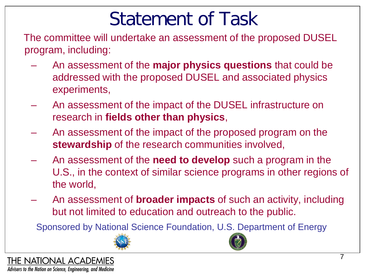## Statement of Task

The committee will undertake an assessment of the proposed DUSEL program, including:

- An assessment of the **major physics questions** that could be addressed with the proposed DUSEL and associated physics experiments,
- An assessment of the impact of the DUSEL infrastructure on research in **fields other than physics**,
- An assessment of the impact of the proposed program on the **stewardship** of the research communities involved,
- An assessment of the **need to develop** such a program in the U.S., in the context of similar science programs in other regions of the world,
- An assessment of **broader impacts** of such an activity, including but not limited to education and outreach to the public.

Sponsored by National Science Foundation, U.S. Department of Energy



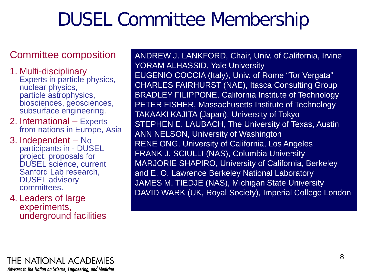## DUSEL Committee Membership

#### Committee composition

- 1. Multi-disciplinary Experts in particle physics, nuclear physics, particle astrophysics, biosciences, geosciences, subsurface engineering.
- 2. International Experts from nations in Europe, Asia
- 3. Independent No participants in - DUSEL project, proposals for DUSEL science, current Sanford Lab research, DUSEL advisory committees.
- 4. Leaders of large experiments, underground facilities

ANDREW J. LANKFORD, Chair, Univ. of California, Irvine YORAM ALHASSID, Yale University EUGENIO COCCIA (Italy), Univ. of Rome "Tor Vergata" CHARLES FAIRHURST (NAE), Itasca Consulting Group BRADLEY FILIPPONE, California Institute of Technology PETER FISHER, Massachusetts Institute of Technology TAKAAKI KAJITA (Japan), University of Tokyo STEPHEN E. LAUBACH, The University of Texas, Austin ANN NELSON, University of Washington RENE ONG, University of California, Los Angeles FRANK J. SCIULLI (NAS), Columbia University MARJORIE SHAPIRO, University of California, Berkeley and E. O. Lawrence Berkeley National Laboratory JAMES M. TIEDJE (NAS), Michigan State University DAVID WARK (UK, Royal Society), Imperial College London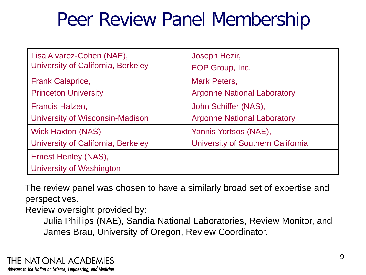## Peer Review Panel Membership

| Lisa Alvarez-Cohen (NAE),                               | Joseph Hezir,                            |
|---------------------------------------------------------|------------------------------------------|
| University of California, Berkeley                      | EOP Group, Inc.                          |
| <b>Frank Calaprice,</b>                                 | <b>Mark Peters,</b>                      |
| <b>Princeton University</b>                             | <b>Argonne National Laboratory</b>       |
| Francis Halzen,                                         | John Schiffer (NAS),                     |
| <b>University of Wisconsin-Madison</b>                  | <b>Argonne National Laboratory</b>       |
| Wick Haxton (NAS),                                      | Yannis Yortsos (NAE),                    |
| University of California, Berkeley                      | <b>University of Southern California</b> |
| Ernest Henley (NAS),<br><b>University of Washington</b> |                                          |

The review panel was chosen to have a similarly broad set of expertise and perspectives.

Review oversight provided by:

Julia Phillips (NAE), Sandia National Laboratories, Review Monitor, and James Brau, University of Oregon, Review Coordinator.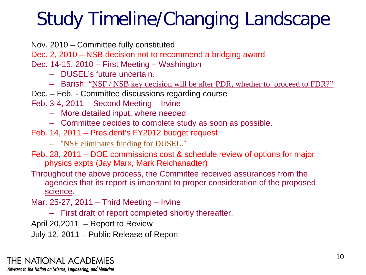## Study Timeline/Changing Landscape

Nov. 2010 – Committee fully constituted

Dec. 2, 2010 – NSB decision not to recommend a bridging award

- Dec. 14-15, 2010 First Meeting Washington
	- DUSEL's future uncertain.
	- Barish: "NSF / NSB key decision will be after PDR, whether to proceed to FDR?"
- Dec. Feb. Committee discussions regarding course
- Feb. 3-4, 2011 Second Meeting Irvine
	- More detailed input, where needed
	- Committee decides to complete study as soon as possible.
- Feb. 14, 2011 President's FY2012 budget request
	- "NSF eliminates funding for DUSEL."
- Feb. 28, 2011 DOE commissions cost & schedule review of options for major physics expts (Jay Marx, Mark Reichanadter)
- Throughout the above process, the Committee received assurances from the agencies that its report is important to proper consideration of the proposed science.
- Mar. 25-27, 2011 Third Meeting Irvine
	- First draft of report completed shortly thereafter.
- April 20,2011 Report to Review
- July 12, 2011 Public Release of Report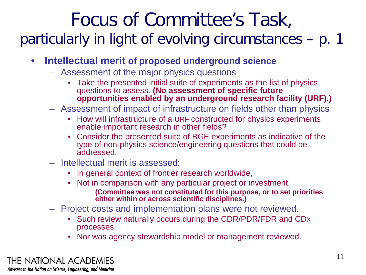#### Focus of Committee's Task, particularly in light of evolving circumstances – p. 1

- **Intellectual merit of proposed underground science**
	- Assessment of the major physics questions
		- Take the presented initial suite of experiments as the list of physics questions to assess. **(No assessment of specific future opportunities enabled by an underground research facility (URF).)**
	- Assessment of impact of infrastructure on fields other than physics
		- How will infrastructure of a URF constructed for physics experiments enable important research in other fields?
		- Consider the presented suite of BGE experiments as indicative of the type of non-physics science/engineering questions that could be addressed.
	- Intellectual merit is assessed:
		- In general context of frontier research worldwide,
		- Not in comparison with any particular project or investment. **(Committee was not constituted for this purpose, or to set priorities either within or across scientific disciplines.)**
	- Project costs and implementation plans were not reviewed.
		- Such review naturally occurs during the CDR/PDR/FDR and CDx processes.
		- Nor was agency stewardship model or management reviewed.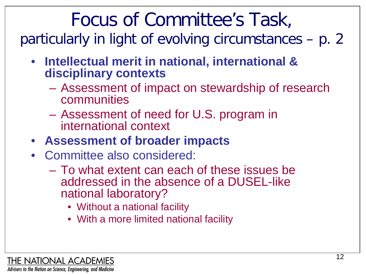## Focus of Committee's Task,

particularly in light of evolving circumstances – p. 2

- **Intellectual merit in national, international & disciplinary contexts**
	- Assessment of impact on stewardship of research communities
	- Assessment of need for U.S. program in international context
- **Assessment of broader impacts**
- Committee also considered:
	- To what extent can each of these issues be addressed in the absence of a DUSEL-like national laboratory?
		- Without a national facility
		- With a more limited national facility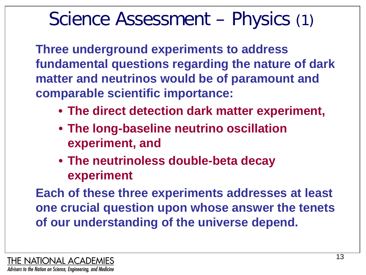#### Science Assessment – Physics (1)

**Three underground experiments to address fundamental questions regarding the nature of dark matter and neutrinos would be of paramount and comparable scientific importance:**

- **• The direct detection dark matter experiment,**
- **• The long-baseline neutrino oscillation experiment, and**
- **• The neutrinoless double-beta decay experiment**

**Each of these three experiments addresses at least one crucial question upon whose answer the tenets of our understanding of the universe depend.**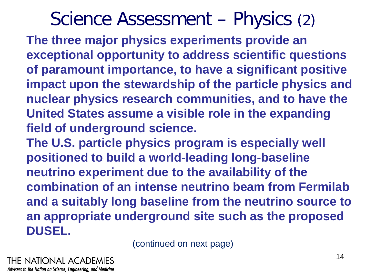#### Science Assessment – Physics (2)

**The three major physics experiments provide an exceptional opportunity to address scientific questions of paramount importance, to have a significant positive impact upon the stewardship of the particle physics and nuclear physics research communities, and to have the United States assume a visible role in the expanding field of underground science.** 

**The U.S. particle physics program is especially well positioned to build a world-leading long-baseline neutrino experiment due to the availability of the combination of an intense neutrino beam from Fermilab and a suitably long baseline from the neutrino source to an appropriate underground site such as the proposed DUSEL.**

(continued on next page)

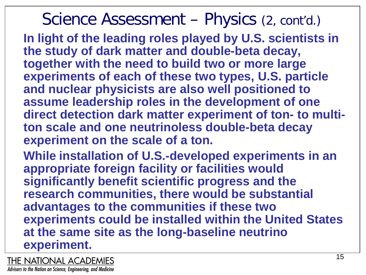#### Science Assessment – Physics (2, cont'd.)

**In light of the leading roles played by U.S. scientists in the study of dark matter and double-beta decay, together with the need to build two or more large experiments of each of these two types, U.S. particle and nuclear physicists are also well positioned to assume leadership roles in the development of one direct detection dark matter experiment of ton- to multiton scale and one neutrinoless double-beta decay experiment on the scale of a ton.** 

**While installation of U.S.-developed experiments in an appropriate foreign facility or facilities would significantly benefit scientific progress and the research communities, there would be substantial advantages to the communities if these two experiments could be installed within the United States at the same site as the long-baseline neutrino experiment.**

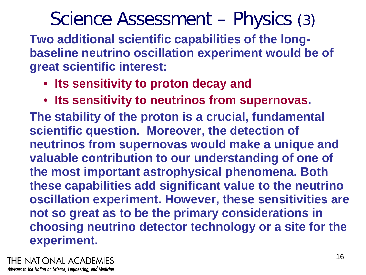#### Science Assessment – Physics (3)

**Two additional scientific capabilities of the longbaseline neutrino oscillation experiment would be of great scientific interest:**

- **• Its sensitivity to proton decay and**
- **• Its sensitivity to neutrinos from supernovas.**

**The stability of the proton is a crucial, fundamental scientific question. Moreover, the detection of neutrinos from supernovas would make a unique and valuable contribution to our understanding of one of the most important astrophysical phenomena. Both these capabilities add significant value to the neutrino oscillation experiment. However, these sensitivities are not so great as to be the primary considerations in choosing neutrino detector technology or a site for the experiment.**

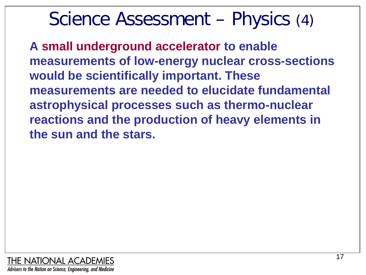#### Science Assessment – Physics (4)

**A small underground accelerator to enable measurements of low-energy nuclear cross-sections would be scientifically important. These measurements are needed to elucidate fundamental astrophysical processes such as thermo-nuclear reactions and the production of heavy elements in the sun and the stars.**

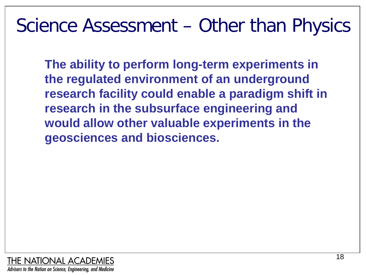### Science Assessment – Other than Physics

**The ability to perform long-term experiments in the regulated environment of an underground research facility could enable a paradigm shift in research in the subsurface engineering and would allow other valuable experiments in the geosciences and biosciences.**

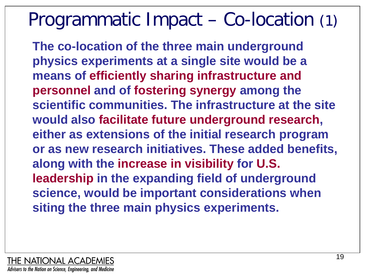#### Programmatic Impact – Co-location (1)

**The co-location of the three main underground physics experiments at a single site would be a means of efficiently sharing infrastructure and personnel and of fostering synergy among the scientific communities. The infrastructure at the site would also facilitate future underground research, either as extensions of the initial research program or as new research initiatives. These added benefits, along with the increase in visibility for U.S. leadership in the expanding field of underground science, would be important considerations when siting the three main physics experiments.**

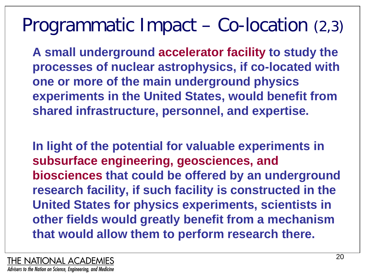### Programmatic Impact – Co-location (2,3)

**A small underground accelerator facility to study the processes of nuclear astrophysics, if co-located with one or more of the main underground physics experiments in the United States, would benefit from shared infrastructure, personnel, and expertise.**

**In light of the potential for valuable experiments in subsurface engineering, geosciences, and biosciences that could be offered by an underground research facility, if such facility is constructed in the United States for physics experiments, scientists in other fields would greatly benefit from a mechanism that would allow them to perform research there.**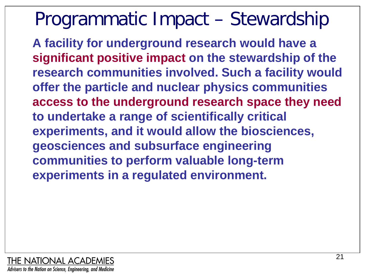### Programmatic Impact – Stewardship

**A facility for underground research would have a significant positive impact on the stewardship of the research communities involved. Such a facility would offer the particle and nuclear physics communities access to the underground research space they need to undertake a range of scientifically critical experiments, and it would allow the biosciences, geosciences and subsurface engineering communities to perform valuable long-term experiments in a regulated environment.**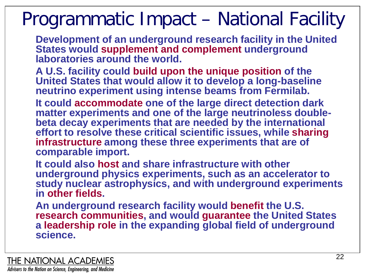### Programmatic Impact – National Facility

**Development of an underground research facility in the United States would supplement and complement underground laboratories around the world.** 

**A U.S. facility could build upon the unique position of the United States that would allow it to develop a long-baseline neutrino experiment using intense beams from Fermilab.** 

**It could accommodate one of the large direct detection dark beta decay experiments that are needed by the international effort to resolve these critical scientific issues, while sharing infrastructure among these three experiments that are of comparable import.** 

**It could also host and share infrastructure with other underground physics experiments, such as an accelerator to study nuclear astrophysics, and with underground experiments in other fields.** 

**An underground research facility would benefit the U.S. research communities, and would guarantee the United States a leadership role in the expanding global field of underground science.**

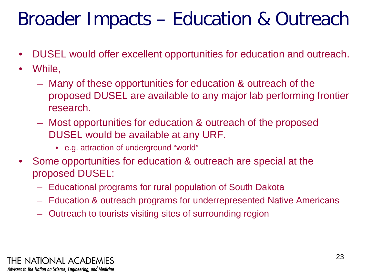### Broader Impacts – Education & Outreach

- DUSEL would offer excellent opportunities for education and outreach.
- While,
	- Many of these opportunities for education & outreach of the proposed DUSEL are available to any major lab performing frontier research.
	- Most opportunities for education & outreach of the proposed DUSEL would be available at any URF.
		- e.g. attraction of underground "world"
- Some opportunities for education & outreach are special at the proposed DUSEL:
	- Educational programs for rural population of South Dakota
	- Education & outreach programs for underrepresented Native Americans
	- Outreach to tourists visiting sites of surrounding region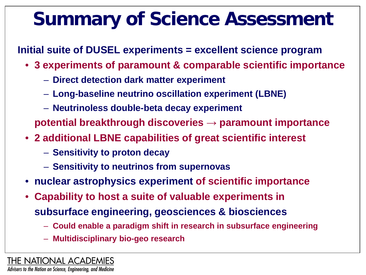### **Summary of Science Assessment**

**Initial suite of DUSEL experiments = excellent science program**

- **3 experiments of paramount & comparable scientific importance**
	- **Direct detection dark matter experiment**
	- **Long-baseline neutrino oscillation experiment (LBNE)**
	- **Neutrinoless double-beta decay experiment**

**potential breakthrough discoveries → paramount importance** 

- **2 additional LBNE capabilities of great scientific interest**
	- **Sensitivity to proton decay**
	- **Sensitivity to neutrinos from supernovas**
- **nuclear astrophysics experiment of scientific importance**
- **Capability to host a suite of valuable experiments in subsurface engineering, geosciences & biosciences**
	- **Could enable a paradigm shift in research in subsurface engineering**
	- **Multidisciplinary bio-geo research**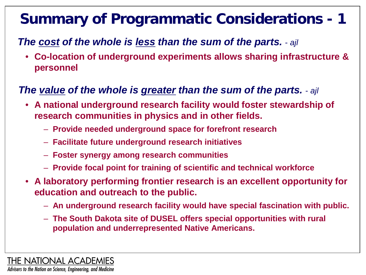#### **Summary of Programmatic Considerations - 1**

#### *The cost of the whole is less than the sum of the parts.* - *ajl*

• **Co-location of underground experiments allows sharing infrastructure & personnel**

#### *The value of the whole is greater than the sum of the parts.* - *ajl*

- **A national underground research facility would foster stewardship of research communities in physics and in other fields.**
	- **Provide needed underground space for forefront research**
	- **Facilitate future underground research initiatives**
	- **Foster synergy among research communities**
	- **Provide focal point for training of scientific and technical workforce**
- **A laboratory performing frontier research is an excellent opportunity for education and outreach to the public.**
	- **An underground research facility would have special fascination with public.**
	- **The South Dakota site of DUSEL offers special opportunities with rural population and underrepresented Native Americans.**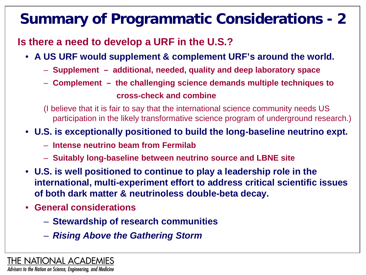#### **Summary of Programmatic Considerations - 2**

#### **Is there a need to develop a URF in the U.S.?**

- **A US URF would supplement & complement URF's around the world.**
	- **Supplement additional, needed, quality and deep laboratory space**
	- **Complement the challenging science demands multiple techniques to**

**cross-check and combine**

(I believe that it is fair to say that the international science community needs US participation in the likely transformative science program of underground research.)

- **U.S. is exceptionally positioned to build the long-baseline neutrino expt.**
	- **Intense neutrino beam from Fermilab**
	- **Suitably long-baseline between neutrino source and LBNE site**
- **U.S. is well positioned to continue to play a leadership role in the international, multi-experiment effort to address critical scientific issues of both dark matter & neutrinoless double-beta decay.**
- **General considerations**
	- **Stewardship of research communities**
	- *Rising Above the Gathering Storm*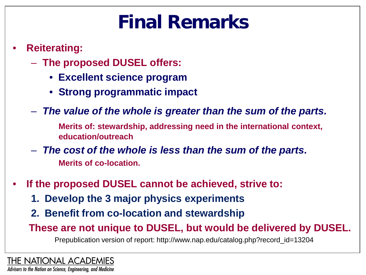### **Final Remarks**

- **Reiterating:**
	- **The proposed DUSEL offers:**
		- **Excellent science program**
		- **Strong programmatic impact**
	- *The value of the whole is greater than the sum of the parts.*

**Merits of: stewardship, addressing need in the international context, education/outreach**

- *The cost of the whole is less than the sum of the parts.* **Merits of co-location.**
- **If the proposed DUSEL cannot be achieved, strive to:**
	- **1. Develop the 3 major physics experiments**
	- **2. Benefit from co-location and stewardship**

**These are not unique to DUSEL, but would be delivered by DUSEL.**

Prepublication version of report: http://www.nap.edu/catalog.php?record\_id=13204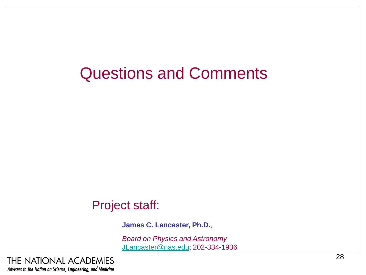#### Questions and Comments

#### Project staff:

**James C. Lancaster, Ph.D.**,

*Board on Physics and Astronomy* [JLancaster@nas.edu](mailto:JLancaster@nas.edu); 202-334-1936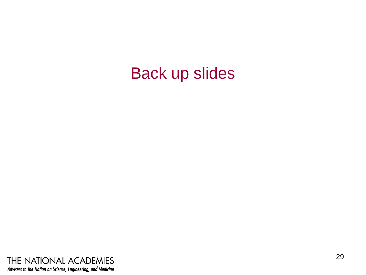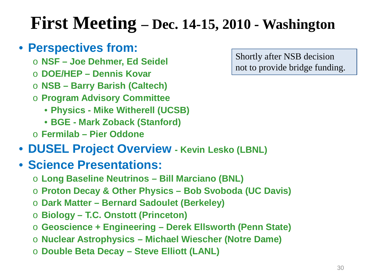#### **First Meeting – Dec. 14-15, 2010 - Washington**

#### • **Perspectives from:**

- o **NSF – Joe Dehmer, Ed Seidel**
- o **DOE/HEP – Dennis Kovar**
- o **NSB – Barry Barish (Caltech)**
- o **Program Advisory Committee**
	- **Physics - Mike Witherell (UCSB)**
	- **BGE - Mark Zoback (Stanford)**
- o **Fermilab – Pier Oddone**
- **DUSEL Project Overview - Kevin Lesko (LBNL)**

#### • **Science Presentations:**

- o **Long Baseline Neutrinos – Bill Marciano (BNL)**
- o **Proton Decay & Other Physics – Bob Svoboda (UC Davis)**
- o **Dark Matter – Bernard Sadoulet (Berkeley)**
- o **Biology – T.C. Onstott (Princeton)**
- o **Geoscience + Engineering – Derek Ellsworth (Penn State)**
- o **Nuclear Astrophysics – Michael Wiescher (Notre Dame)**
- o **Double Beta Decay – Steve Elliott (LANL)**

Shortly after NSB decision not to provide bridge funding.